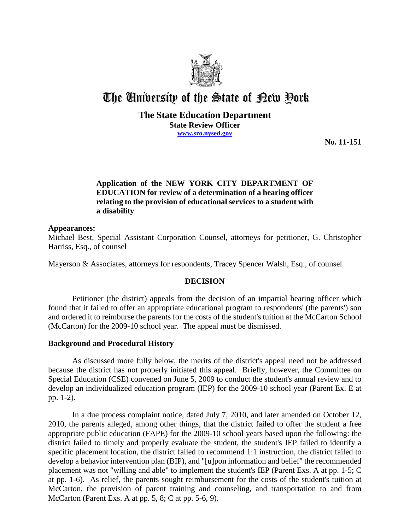

# The University of the State of Pew Pork

#### **The State Education Department State Review Officer www.sro.nysed.gov**

**No. 11-151**

## **Application of the NEW YORK CITY DEPARTMENT OF EDUCATION for review of a determination of a hearing officer relating to the provision of educational services to a student with a disability**

#### **Appearances:**

Michael Best, Special Assistant Corporation Counsel, attorneys for petitioner, G. Christopher Harriss, Esq., of counsel

Mayerson & Associates, attorneys for respondents, Tracey Spencer Walsh, Esq., of counsel

## **DECISION**

Petitioner (the district) appeals from the decision of an impartial hearing officer which found that it failed to offer an appropriate educational program to respondents' (the parents') son and ordered it to reimburse the parents for the costs of the student's tuition at the McCarton School (McCarton) for the 2009-10 school year. The appeal must be dismissed.

## **Background and Procedural History**

As discussed more fully below, the merits of the district's appeal need not be addressed because the district has not properly initiated this appeal. Briefly, however, the Committee on Special Education (CSE) convened on June 5, 2009 to conduct the student's annual review and to develop an individualized education program (IEP) for the 2009-10 school year (Parent Ex. E at pp. 1-2).

In a due process complaint notice, dated July 7, 2010, and later amended on October 12, 2010, the parents alleged, among other things, that the district failed to offer the student a free appropriate public education (FAPE) for the 2009-10 school years based upon the following: the district failed to timely and properly evaluate the student, the student's IEP failed to identify a specific placement location, the district failed to recommend 1:1 instruction, the district failed to develop a behavior intervention plan (BIP), and "[u]pon information and belief" the recommended placement was not "willing and able" to implement the student's IEP (Parent Exs. A at pp. 1-5; C at pp. 1-6). As relief, the parents sought reimbursement for the costs of the student's tuition at McCarton, the provision of parent training and counseling, and transportation to and from McCarton (Parent Exs. A at pp. 5, 8; C at pp. 5-6, 9).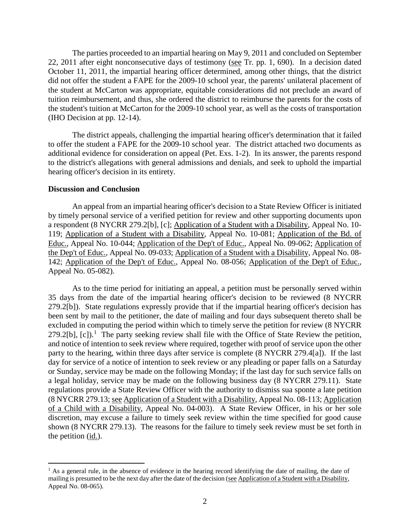The parties proceeded to an impartial hearing on May 9, 2011 and concluded on September 22, 2011 after eight nonconsecutive days of testimony (see Tr. pp. 1, 690). In a decision dated October 11, 2011, the impartial hearing officer determined, among other things, that the district did not offer the student a FAPE for the 2009-10 school year, the parents' unilateral placement of the student at McCarton was appropriate, equitable considerations did not preclude an award of tuition reimbursement, and thus, she ordered the district to reimburse the parents for the costs of the student's tuition at McCarton for the 2009-10 school year, as well as the costs of transportation (IHO Decision at pp. 12-14).

The district appeals, challenging the impartial hearing officer's determination that it failed to offer the student a FAPE for the 2009-10 school year. The district attached two documents as additional evidence for consideration on appeal (Pet. Exs. 1-2). In its answer, the parents respond to the district's allegations with general admissions and denials, and seek to uphold the impartial hearing officer's decision in its entirety.

#### **Discussion and Conclusion**

An appeal from an impartial hearing officer's decision to a State Review Officer is initiated by timely personal service of a verified petition for review and other supporting documents upon a respondent (8 NYCRR 279.2[b], [c]; Application of a Student with a Disability, Appeal No. 10- 119; Application of a Student with a Disability, Appeal No. 10-081; Application of the Bd. of Educ., Appeal No. 10-044; Application of the Dep't of Educ., Appeal No. 09-062; Application of the Dep't of Educ., Appeal No. 09-033; Application of a Student with a Disability, Appeal No. 08- 142; Application of the Dep't of Educ., Appeal No. 08-056; Application of the Dep't of Educ., Appeal No. 05-082).

As to the time period for initiating an appeal, a petition must be personally served within 35 days from the date of the impartial hearing officer's decision to be reviewed (8 NYCRR 279.2[b]). State regulations expressly provide that if the impartial hearing officer's decision has been sent by mail to the petitioner, the date of mailing and four days subsequent thereto shall be excluded in computing the period within which to timely serve the petition for review (8 NYCRR  $279.2[b]$ , [c]).<sup>1</sup> The party seeking review shall file with the Office of State Review the petition, and notice of intention to seek review where required, together with proof of service upon the other party to the hearing, within three days after service is complete (8 NYCRR 279.4[a]). If the last day for service of a notice of intention to seek review or any pleading or paper falls on a Saturday or Sunday, service may be made on the following Monday; if the last day for such service falls on a legal holiday, service may be made on the following business day (8 NYCRR 279.11). State regulations provide a State Review Officer with the authority to dismiss sua sponte a late petition (8 NYCRR 279.13; see Application of a Student with a Disability, Appeal No. 08-113; Application of a Child with a Disability, Appeal No. 04-003). A State Review Officer, in his or her sole discretion, may excuse a failure to timely seek review within the time specified for good cause shown (8 NYCRR 279.13). The reasons for the failure to timely seek review must be set forth in the petition  $(i_d)$ .

<sup>&</sup>lt;sup>1</sup> As a general rule, in the absence of evidence in the hearing record identifying the date of mailing, the date of mailing is presumed to be the next day after the date of the decision (see Application of a Student with a Disability, Appeal No. 08-065).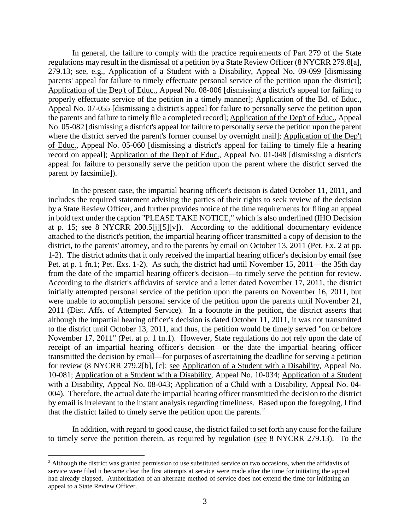In general, the failure to comply with the practice requirements of Part 279 of the State regulations may result in the dismissal of a petition by a State Review Officer (8 NYCRR 279.8[a], 279.13; see, e.g., Application of a Student with a Disability, Appeal No. 09-099 [dismissing parents' appeal for failure to timely effectuate personal service of the petition upon the district]; Application of the Dep't of Educ., Appeal No. 08-006 [dismissing a district's appeal for failing to properly effectuate service of the petition in a timely manner]; Application of the Bd. of Educ., Appeal No. 07-055 [dismissing a district's appeal for failure to personally serve the petition upon the parents and failure to timely file a completed record]; Application of the Dep't of Educ., Appeal No. 05-082 [dismissing a district's appeal for failure to personally serve the petition upon the parent where the district served the parent's former counsel by overnight mail]; Application of the Dep't of Educ., Appeal No. 05-060 [dismissing a district's appeal for failing to timely file a hearing record on appeal]; Application of the Dep't of Educ., Appeal No. 01-048 [dismissing a district's appeal for failure to personally serve the petition upon the parent where the district served the parent by facsimile]).

In the present case, the impartial hearing officer's decision is dated October 11, 2011, and includes the required statement advising the parties of their rights to seek review of the decision by a State Review Officer, and further provides notice of the time requirements for filing an appeal in bold text under the caption "PLEASE TAKE NOTICE," which is also underlined (IHO Decision at p. 15; see 8 NYCRR 200.5[j][5][v]). According to the additional documentary evidence attached to the district's petition, the impartial hearing officer transmitted a copy of decision to the district, to the parents' attorney, and to the parents by email on October 13, 2011 (Pet. Ex. 2 at pp. 1-2). The district admits that it only received the impartial hearing officer's decision by email (see Pet. at p. 1 fn.1; Pet. Exs. 1-2). As such, the district had until November 15, 2011—the 35th day from the date of the impartial hearing officer's decision—to timely serve the petition for review. According to the district's affidavits of service and a letter dated November 17, 2011, the district initially attempted personal service of the petition upon the parents on November 16, 2011, but were unable to accomplish personal service of the petition upon the parents until November 21, 2011 (Dist. Affs. of Attempted Service). In a footnote in the petition, the district asserts that although the impartial hearing officer's decision is dated October 11, 2011, it was not transmitted to the district until October 13, 2011, and thus, the petition would be timely served "on or before November 17, 2011" (Pet. at p. 1 fn.1). However, State regulations do not rely upon the date of receipt of an impartial hearing officer's decision—or the date the impartial hearing officer transmitted the decision by email—for purposes of ascertaining the deadline for serving a petition for review (8 NYCRR 279.2[b], [c]; see Application of a Student with a Disability, Appeal No. 10-081; Application of a Student with a Disability, Appeal No. 10-034; Application of a Student with a Disability, Appeal No. 08-043; Application of a Child with a Disability, Appeal No. 04- 004). Therefore, the actual date the impartial hearing officer transmitted the decision to the district by email is irrelevant to the instant analysis regarding timeliness. Based upon the foregoing, I find that the district failed to timely serve the petition upon the parents.<sup>2</sup>

In addition, with regard to good cause, the district failed to set forth any cause for the failure to timely serve the petition therein, as required by regulation (see 8 NYCRR 279.13). To the

 $<sup>2</sup>$  Although the district was granted permission to use substituted service on two occasions, when the affidavits of</sup> service were filed it became clear the first attempts at service were made after the time for initiating the appeal had already elapsed. Authorization of an alternate method of service does not extend the time for initiating an appeal to a State Review Officer.